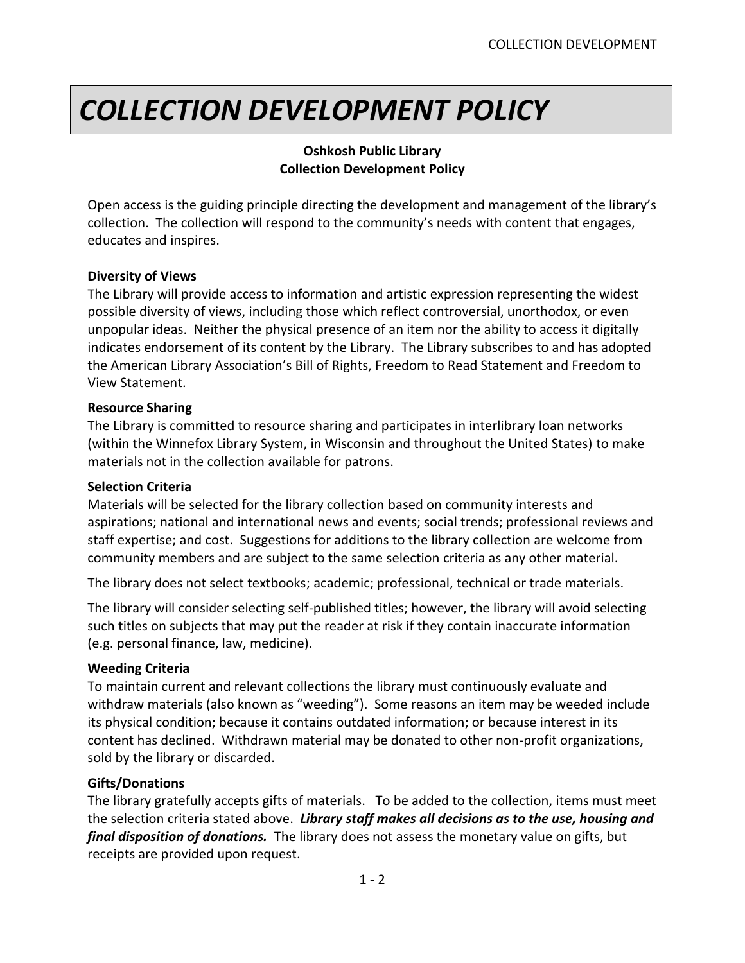# *COLLECTION DEVELOPMENT POLICY*

## **Oshkosh Public Library Collection Development Policy**

Open access is the guiding principle directing the development and management of the library's collection. The collection will respond to the community's needs with content that engages, educates and inspires.

## **Diversity of Views**

The Library will provide access to information and artistic expression representing the widest possible diversity of views, including those which reflect controversial, unorthodox, or even unpopular ideas. Neither the physical presence of an item nor the ability to access it digitally indicates endorsement of its content by the Library. The Library subscribes to and has adopted the American Library Association's Bill of Rights, Freedom to Read Statement and Freedom to View Statement.

#### **Resource Sharing**

The Library is committed to resource sharing and participates in interlibrary loan networks (within the Winnefox Library System, in Wisconsin and throughout the United States) to make materials not in the collection available for patrons.

#### **Selection Criteria**

Materials will be selected for the library collection based on community interests and aspirations; national and international news and events; social trends; professional reviews and staff expertise; and cost. Suggestions for additions to the library collection are welcome from community members and are subject to the same selection criteria as any other material.

The library does not select textbooks; academic; professional, technical or trade materials.

The library will consider selecting self-published titles; however, the library will avoid selecting such titles on subjects that may put the reader at risk if they contain inaccurate information (e.g. personal finance, law, medicine).

#### **Weeding Criteria**

To maintain current and relevant collections the library must continuously evaluate and withdraw materials (also known as "weeding"). Some reasons an item may be weeded include its physical condition; because it contains outdated information; or because interest in its content has declined. Withdrawn material may be donated to other non-profit organizations, sold by the library or discarded.

## **Gifts/Donations**

The library gratefully accepts gifts of materials. To be added to the collection, items must meet the selection criteria stated above. *Library staff makes all decisions as to the use, housing and final disposition of donations.* The library does not assess the monetary value on gifts, but receipts are provided upon request.